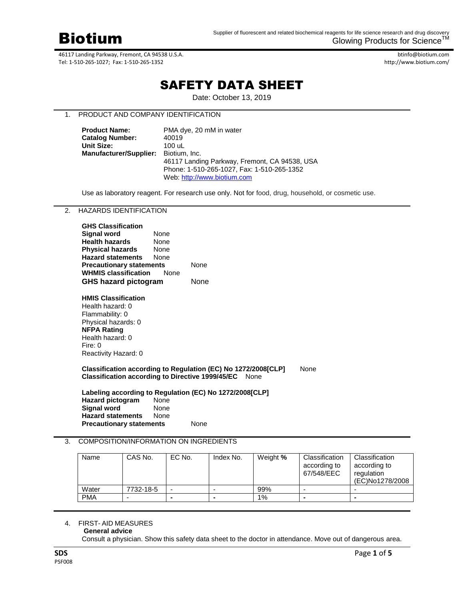

btinfo@biotium.com http://www.biotium.com/

# SAFETY DATA SHEET

Date: October 13, 2019

## 1. PRODUCT AND COMPANY IDENTIFICATION

| <b>Product Name:</b>          | PMA dye, 20 mM in water                       |
|-------------------------------|-----------------------------------------------|
| <b>Catalog Number:</b>        | 40019                                         |
| <b>Unit Size:</b>             | 100 uL                                        |
| <b>Manufacturer/Supplier:</b> | Biotium, Inc.                                 |
|                               | 46117 Landing Parkway, Fremont, CA 94538, USA |
|                               | Phone: 1-510-265-1027. Fax: 1-510-265-1352    |
|                               | Web: http://www.biotium.com                   |

Use as laboratory reagent. For research use only. Not for food, drug, household, or cosmetic use.

## 2. HAZARDS IDENTIFICATION

| <b>GHS Classification</b>       |      |      |
|---------------------------------|------|------|
| Signal word                     | None |      |
| <b>Health hazards</b>           | None |      |
| <b>Physical hazards</b>         | None |      |
| <b>Hazard statements</b>        | None |      |
| <b>Precautionary statements</b> |      | None |
| <b>WHMIS classification</b>     | None |      |
| <b>GHS hazard pictogram</b>     | None |      |
|                                 |      |      |

**HMIS Classification** Health hazard: 0 Flammability: 0 Physical hazards: 0 **NFPA Rating** Health hazard: 0 Fire: 0 Reactivity Hazard: 0

#### **Classification according to Regulation (EC) No 1272/2008[CLP]** None **Classification according to Directive 1999/45/EC** None

**Labeling according to Regulation (EC) No 1272/2008[CLP] Hazard pictogram Signal word**  None **Hazard statements** None

**Precautionary statements** None

## 3. COMPOSITION/INFORMATION ON INGREDIENTS

| Name       | CAS No.   | EC No.         | Index No. | Weight % | Classification<br>according to<br>67/548/EEC | Classification<br>according to<br>regulation<br>(EC)No1278/2008 |
|------------|-----------|----------------|-----------|----------|----------------------------------------------|-----------------------------------------------------------------|
| Water      | 7732-18-5 |                |           | 99%      |                                              |                                                                 |
| <b>PMA</b> |           | $\blacksquare$ |           | $1\%$    | -                                            |                                                                 |

# 4. FIRST- AID MEASURES

#### **General advice**

Consult a physician. Show this safety data sheet to the doctor in attendance. Move out of dangerous area.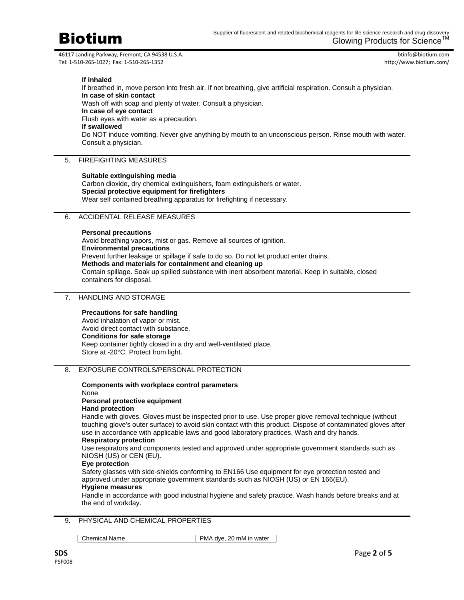

btinfo@biotium.com http://www.biotium.com/

**If inhaled**

If breathed in, move person into fresh air. If not breathing, give artificial respiration. Consult a physician. **In case of skin contact** Wash off with soap and plenty of water. Consult a physician. **In case of eye contact** Flush eyes with water as a precaution. **If swallowed** Do NOT induce vomiting. Never give anything by mouth to an unconscious person. Rinse mouth with water. Consult a physician.

## 5. FIREFIGHTING MEASURES

#### **Suitable extinguishing media**

Carbon dioxide, dry chemical extinguishers, foam extinguishers or water. **Special protective equipment for firefighters** Wear self contained breathing apparatus for firefighting if necessary.

## 6. ACCIDENTAL RELEASE MEASURES

#### **Personal precautions**

Avoid breathing vapors, mist or gas. Remove all sources of ignition. **Environmental precautions** Prevent further leakage or spillage if safe to do so. Do not let product enter drains. **Methods and materials for containment and cleaning up** Contain spillage. Soak up spilled substance with inert absorbent material. Keep in suitable, closed containers for disposal.

## 7. HANDLING AND STORAGE

#### **Precautions for safe handling**

Avoid inhalation of vapor or mist. Avoid direct contact with substance. **Conditions for safe storage** Keep container tightly closed in a dry and well-ventilated place. Store at -20°C. Protect from light.

## 8. EXPOSURE CONTROLS/PERSONAL PROTECTION

#### **Components with workplace control parameters**

None

## **Personal protective equipment**

## **Hand protection**

Handle with gloves. Gloves must be inspected prior to use. Use proper glove removal technique (without touching glove's outer surface) to avoid skin contact with this product. Dispose of contaminated gloves after use in accordance with applicable laws and good laboratory practices. Wash and dry hands.

#### **Respiratory protection**

Use respirators and components tested and approved under appropriate government standards such as NIOSH (US) or CEN (EU).

#### **Eye protection**

Safety glasses with side-shields conforming to EN166 Use equipment for eye protection tested and approved under appropriate government standards such as NIOSH (US) or EN 166(EU).

# **Hygiene measures**

Handle in accordance with good industrial hygiene and safety practice. Wash hands before breaks and at the end of workday.

## 9. PHYSICAL AND CHEMICAL PROPERTIES

Chemical Name PMA dye, 20 mM in water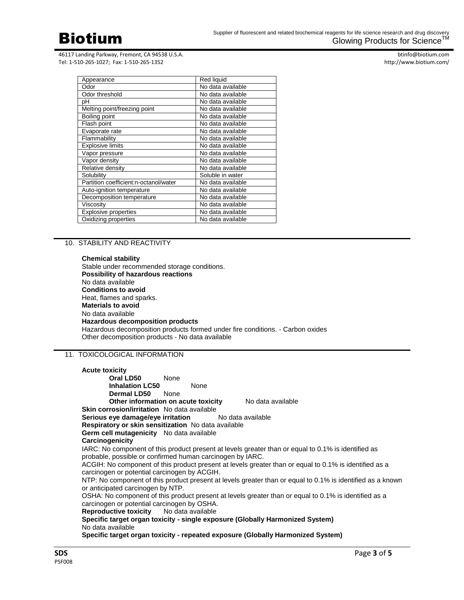

btinfo@biotium.com http://www.biotium.com/

| Appearance                            | Red liquid        |
|---------------------------------------|-------------------|
| Odor                                  | No data available |
| Odor threshold                        | No data available |
| рH                                    | No data available |
| Melting point/freezing point          | No data available |
| Boiling point                         | No data available |
| Flash point                           | No data available |
| Evaporate rate                        | No data available |
| Flammability                          | No data available |
| <b>Explosive limits</b>               | No data available |
| Vapor pressure                        | No data available |
| Vapor density                         | No data available |
| Relative density                      | No data available |
| Solubility                            | Soluble in water  |
| Partition coefficient:n-octanol/water | No data available |
| Auto-ignition temperature             | No data available |
| Decomposition temperature             | No data available |
| Viscosity                             | No data available |
| <b>Explosive properties</b>           | No data available |
| Oxidizing properties                  | No data available |

## 10. STABILITY AND REACTIVITY

**Chemical stability** Stable under recommended storage conditions. **Possibility of hazardous reactions** No data available **Conditions to avoid** Heat, flames and sparks. **Materials to avoid** No data available **Hazardous decomposition products** Hazardous decomposition products formed under fire conditions. - Carbon oxides Other decomposition products - No data available

## 11. TOXICOLOGICAL INFORMATION

| <b>Acute toxicity</b>                                                                                                                                  |                                                            |                                                                                                     |  |  |
|--------------------------------------------------------------------------------------------------------------------------------------------------------|------------------------------------------------------------|-----------------------------------------------------------------------------------------------------|--|--|
| <b>Oral LD50</b> None                                                                                                                                  |                                                            |                                                                                                     |  |  |
| <b>Inhalation LC50</b>                                                                                                                                 | None                                                       |                                                                                                     |  |  |
| <b>Dermal LD50</b> None                                                                                                                                |                                                            |                                                                                                     |  |  |
|                                                                                                                                                        | Other information on acute toxicity                        | No data available                                                                                   |  |  |
| <b>Skin corrosion/irritation</b> No data available                                                                                                     |                                                            |                                                                                                     |  |  |
|                                                                                                                                                        | <b>Serious eye damage/eye irritation</b> No data available |                                                                                                     |  |  |
|                                                                                                                                                        | Respiratory or skin sensitization No data available        |                                                                                                     |  |  |
| Germ cell mutagenicity No data available                                                                                                               |                                                            |                                                                                                     |  |  |
| Carcinogenicity                                                                                                                                        |                                                            |                                                                                                     |  |  |
|                                                                                                                                                        |                                                            | IARC: No component of this product present at levels greater than or equal to 0.1% is identified as |  |  |
| probable, possible or confirmed human carcinogen by IARC.                                                                                              |                                                            |                                                                                                     |  |  |
| ACGIH: No component of this product present at levels greater than or equal to 0.1% is identified as a<br>carcinogen or potential carcinogen by ACGIH. |                                                            |                                                                                                     |  |  |
| NTP: No component of this product present at levels greater than or equal to 0.1% is identified as a known                                             |                                                            |                                                                                                     |  |  |
| or anticipated carcinogen by NTP.                                                                                                                      |                                                            |                                                                                                     |  |  |
| OSHA: No component of this product present at levels greater than or equal to 0.1% is identified as a                                                  |                                                            |                                                                                                     |  |  |
| carcinogen or potential carcinogen by OSHA.                                                                                                            |                                                            |                                                                                                     |  |  |
| <b>Reproductive toxicity</b> No data available                                                                                                         |                                                            |                                                                                                     |  |  |
| Specific target organ toxicity - single exposure (Globally Harmonized System)                                                                          |                                                            |                                                                                                     |  |  |
| No data available                                                                                                                                      |                                                            |                                                                                                     |  |  |
|                                                                                                                                                        |                                                            | Specific target organ toxicity - repeated exposure (Globally Harmonized System)                     |  |  |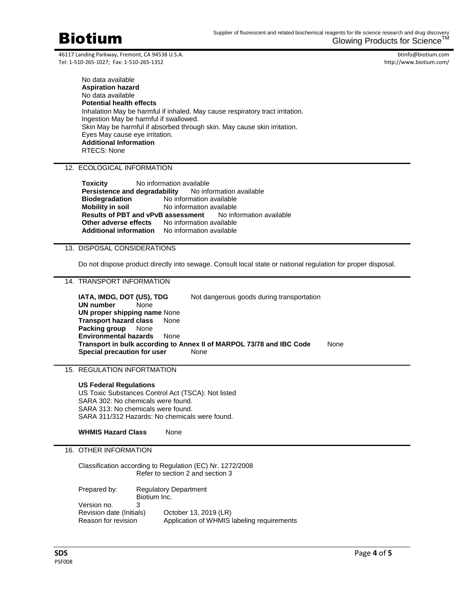Biotium

46117 Landing Parkway, Fremont, CA 94538 U.S.A. Tel: 1-510-265-1027; Fax: 1-510-265-1352

btinfo@biotium.com http://www.biotium.com/

No data available **Aspiration hazard** No data available **Potential health effects** Inhalation May be harmful if inhaled. May cause respiratory tract irritation. Ingestion May be harmful if swallowed. Skin May be harmful if absorbed through skin. May cause skin irritation. Eyes May cause eye irritation. **Additional Information** RTECS: None

12. ECOLOGICAL INFORMATION

**Toxicity** No information available Persistence and degradability No information available **Biodegradation** No information available **Mobility in soil** No information available **Results of PBT and vPvB assessment** No information available **Other adverse effects** No information available **Additional information** No information available

## 13. DISPOSAL CONSIDERATIONS

Do not dispose product directly into sewage. Consult local state or national regulation for proper disposal.

14. TRANSPORT INFORMATION

**IATA, IMDG, DOT (US), TDG** Not dangerous goods during transportation **UN number** None **UN proper shipping name** None **Transport hazard class** None **Packing group** None **Environmental hazards** None **Transport in bulk according to Annex II of MARPOL 73/78 and IBC Code** None **Special precaution for user** None

15. REGULATION INFORTMATION

#### **US Federal Regulations**

US Toxic Substances Control Act (TSCA): Not listed SARA 302: No chemicals were found. SARA 313: No chemicals were found. SARA 311/312 Hazards: No chemicals were found.

**WHMIS Hazard Class** None

#### 16. OTHER INFORMATION

Classification according to Regulation (EC) Nr. 1272/2008 Refer to section 2 and section 3 Prepared by: Regulatory Department Biotium Inc. Version no. 3 Revision date (Initials) October 13, 2019 (LR)